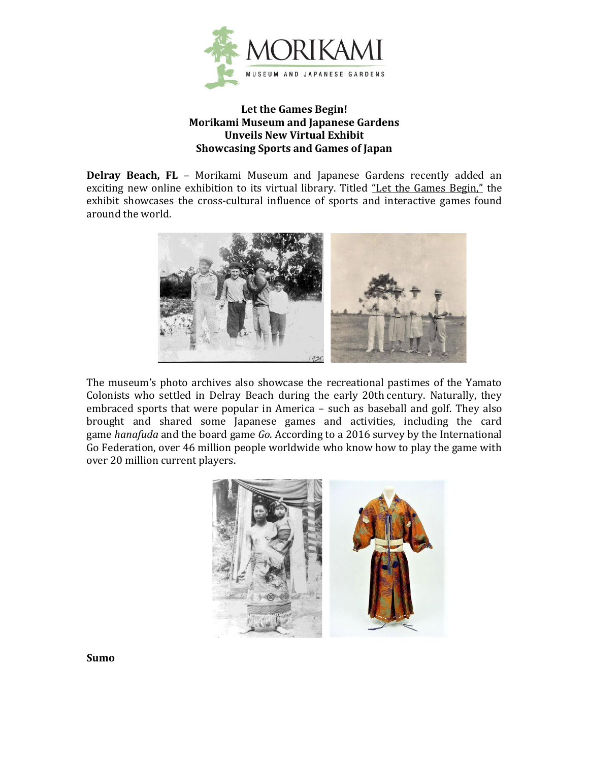

## **Let the Games Begin! Morikami Museum and Japanese Gardens Unveils New Virtual Exhibit Showcasing Sports and Games of Japan**

**Delray Beach, FL** – Morikami Museum and Japanese Gardens recently added an exciting new online exhibition to its virtual library. Titled ["Let the Games Begin,"](https://morikami.org/online-exhibitions/let-the-games-begin/?ct=t(JULY_2021_ENEWS)&mc_cid=ca98fb9d65&mc_eid=0029a99af8) the exhibit showcases the cross-cultural influence of sports and interactive games found around the world.



The museum's photo archives also showcase the recreational pastimes of the Yamato Colonists who settled in Delray Beach during the early 20th century. Naturally, they embraced sports that were popular in America – such as baseball and golf. They also brought and shared some Japanese games and activities, including the card game *hanafuda* and the board game *Go*. According to a 2016 survey by the International Go Federation, over 46 million people worldwide who know how to play the game with over 20 million current players.



**Sumo**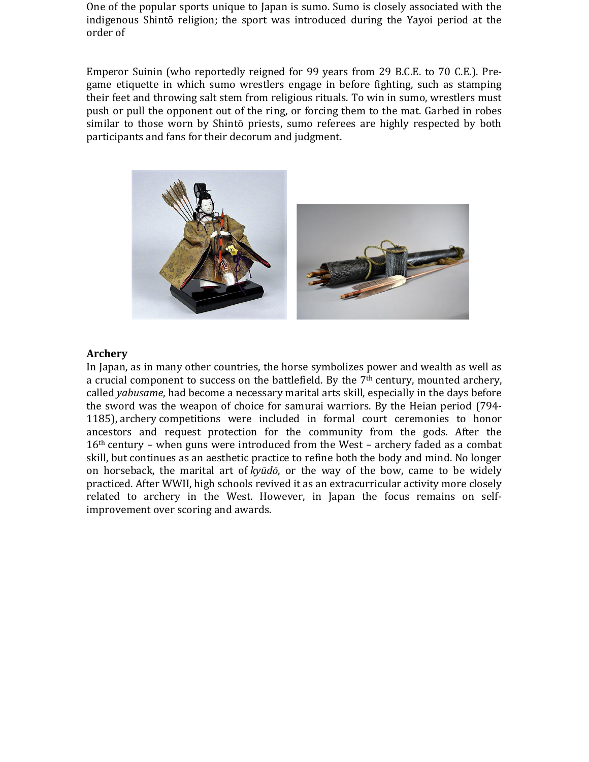One of the popular sports unique to Japan is sumo. Sumo is closely associated with the indigenous Shintō religion; the sport was introduced during the Yayoi period at the order of

Emperor Suinin (who reportedly reigned for 99 years from 29 B.C.E. to 70 C.E.). Pregame etiquette in which sumo wrestlers engage in before fighting, such as stamping their feet and throwing salt stem from religious rituals. To win in sumo, wrestlers must push or pull the opponent out of the ring, or forcing them to the mat. Garbed in robes similar to those worn by Shintō priests, sumo referees are highly respected by both participants and fans for their decorum and judgment.



#### **Archery**

In Japan, as in many other countries, the horse symbolizes power and wealth as well as a crucial component to success on the battlefield. By the  $7<sup>th</sup>$  century, mounted archery, called *yabusame*, had become a necessary marital arts skill, especially in the days before the sword was the weapon of choice for samurai warriors. By the Heian period (794- 1185), archery competitions were included in formal court ceremonies to honor ancestors and request protection for the community from the gods. After the 16th century – when guns were introduced from the West – archery faded as a combat skill, but continues as an aesthetic practice to refine both the body and mind. No longer on horseback, the marital art of *kyūdō*, or the way of the bow, came to be widely practiced. After WWII, high schools revived it as an extracurricular activity more closely related to archery in the West. However, in Japan the focus remains on selfimprovement over scoring and awards.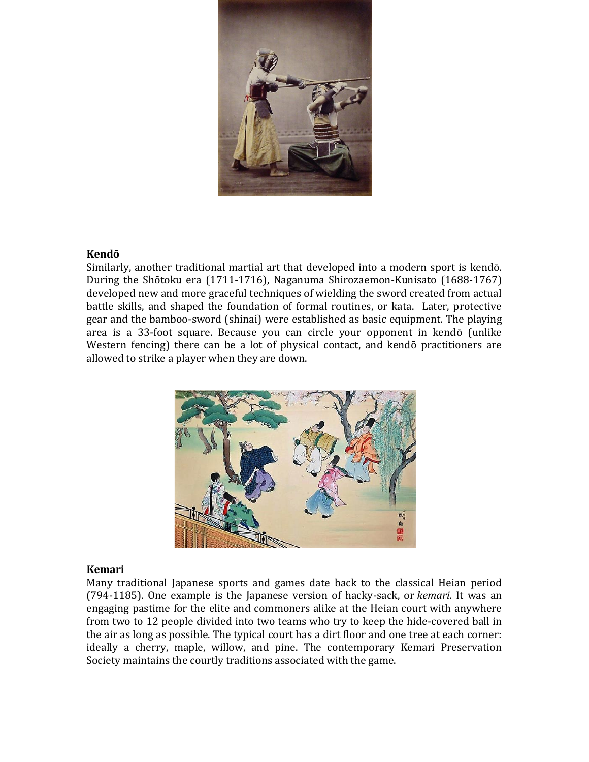

#### **Kendō**

Similarly, another traditional martial art that developed into a modern sport is kendō. During the Shōtoku era (1711-1716), Naganuma Shirozaemon-Kunisato (1688-1767) developed new and more graceful techniques of wielding the sword created from actual battle skills, and shaped the foundation of formal routines, or kata. Later, protective gear and the bamboo-sword (shinai) were established as basic equipment. The playing area is a 33-foot square. Because you can circle your opponent in kendō (unlike Western fencing) there can be a lot of physical contact, and kendō practitioners are allowed to strike a player when they are down.



## **Kemari**

Many traditional Japanese sports and games date back to the classical Heian period (794-1185). One example is the Japanese version of hacky-sack, or *kemari*. It was an engaging pastime for the elite and commoners alike at the Heian court with anywhere from two to 12 people divided into two teams who try to keep the hide-covered ball in the air as long as possible. The typical court has a dirt floor and one tree at each corner: ideally a cherry, maple, willow, and pine. The contemporary Kemari Preservation Society maintains the courtly traditions associated with the game.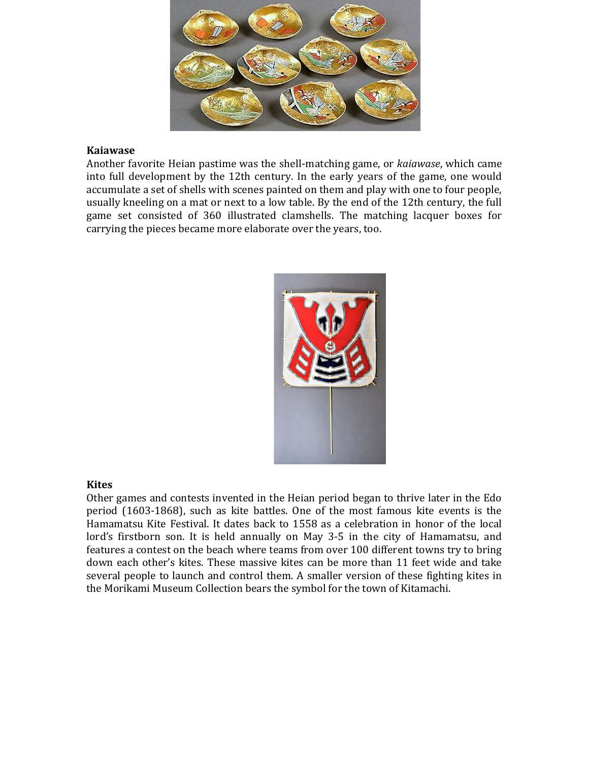

#### **Kaiawase**

Another favorite Heian pastime was the shell-matching game, or *kaiawase*, which came into full development by the 12th century. In the early years of the game, one would accumulate a set of shells with scenes painted on them and play with one to four people, usually kneeling on a mat or next to a low table. By the end of the 12th century, the full game set consisted of 360 illustrated clamshells. The matching lacquer boxes for carrying the pieces became more elaborate over the years, too.



## **Kites**

Other games and contests invented in the Heian period began to thrive later in the Edo period (1603-1868), such as kite battles. One of the most famous kite events is the Hamamatsu Kite Festival. It dates back to 1558 as a celebration in honor of the local lord's firstborn son. It is held annually on May 3-5 in the city of Hamamatsu, and features a contest on the beach where teams from over 100 different towns try to bring down each other's kites. These massive kites can be more than 11 feet wide and take several people to launch and control them. A smaller version of these fighting kites in the Morikami Museum Collection bears the symbol for the town of Kitamachi.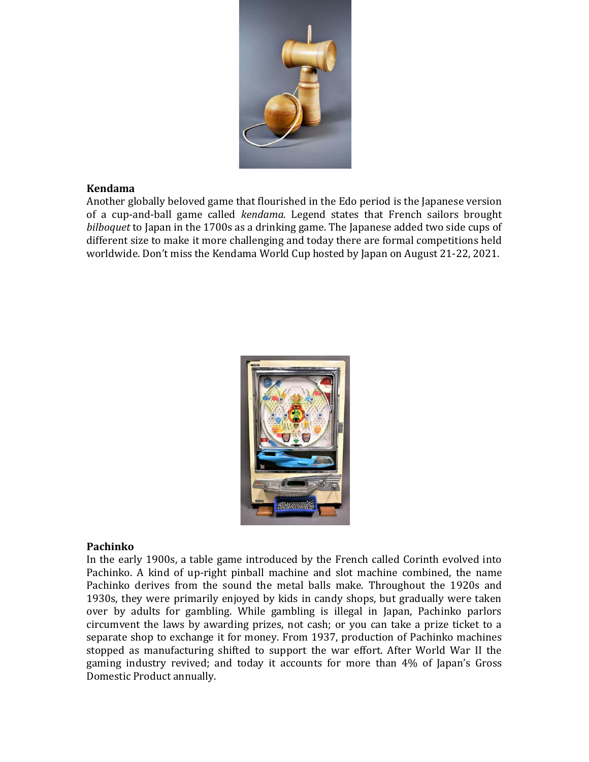

## **Kendama**

Another globally beloved game that flourished in the Edo period is the Japanese version of a cup-and-ball game called *kendama*. Legend states that French sailors brought *bilboquet* to Japan in the 1700s as a drinking game. The Japanese added two side cups of different size to make it more challenging and today there are formal competitions held worldwide. Don't miss the Kendama World Cup hosted by Japan on August 21-22, 2021.



# **Pachinko**

In the early 1900s, a table game introduced by the French called Corinth evolved into Pachinko. A kind of up-right pinball machine and slot machine combined, the name Pachinko derives from the sound the metal balls make. Throughout the 1920s and 1930s, they were primarily enjoyed by kids in candy shops, but gradually were taken over by adults for gambling. While gambling is illegal in Japan, Pachinko parlors circumvent the laws by awarding prizes, not cash; or you can take a prize ticket to a separate shop to exchange it for money. From 1937, production of Pachinko machines stopped as manufacturing shifted to support the war effort. After World War II the gaming industry revived; and today it accounts for more than 4% of Japan's Gross Domestic Product annually.